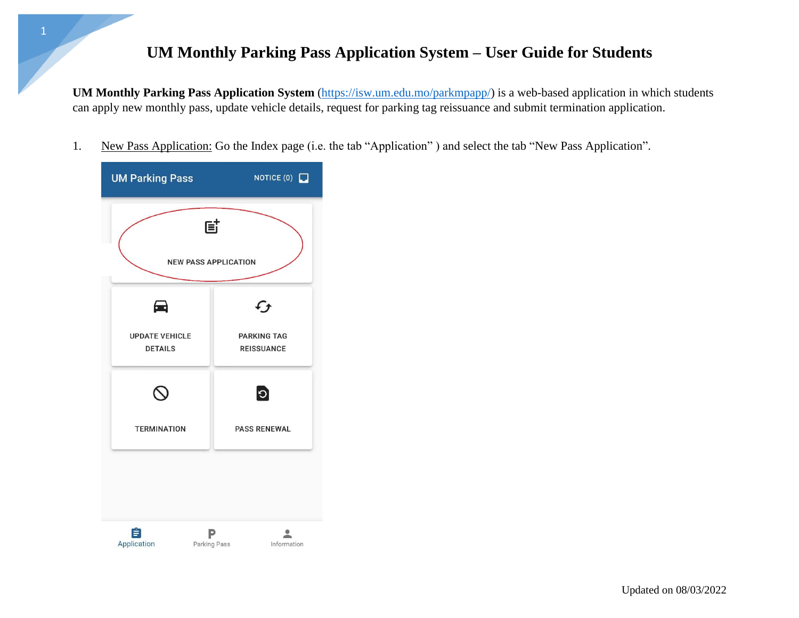## **UM Monthly Parking Pass Application System – User Guide for Students**

**UM Monthly Parking Pass Application System** [\(https://isw.um.edu.mo/parkmpapp/\)](https://isw.um.edu.mo/parkmpapp/) is a web-based application in which students can apply new monthly pass, update vehicle details, request for parking tag reissuance and submit termination application.

1. New Pass Application: Go the Index page (i.e. the tab "Application" ) and select the tab "New Pass Application".

| <b>UM Parking Pass</b>                  | NOTICE $(0)$                            |
|-----------------------------------------|-----------------------------------------|
| 固                                       |                                         |
| <b>NEW PASS APPLICATION</b>             |                                         |
| 60                                      | $\mathfrak{c}_{\bm{f}}$                 |
| <b>UPDATE VEHICLE</b><br><b>DETAILS</b> | <b>PARKING TAG</b><br><b>REISSUANCE</b> |
|                                         | $\bullet$                               |
| <b>TERMINATION</b>                      | <b>PASS RENEWAL</b>                     |
|                                         |                                         |
| É<br>Application<br>Parking Pass        | Information                             |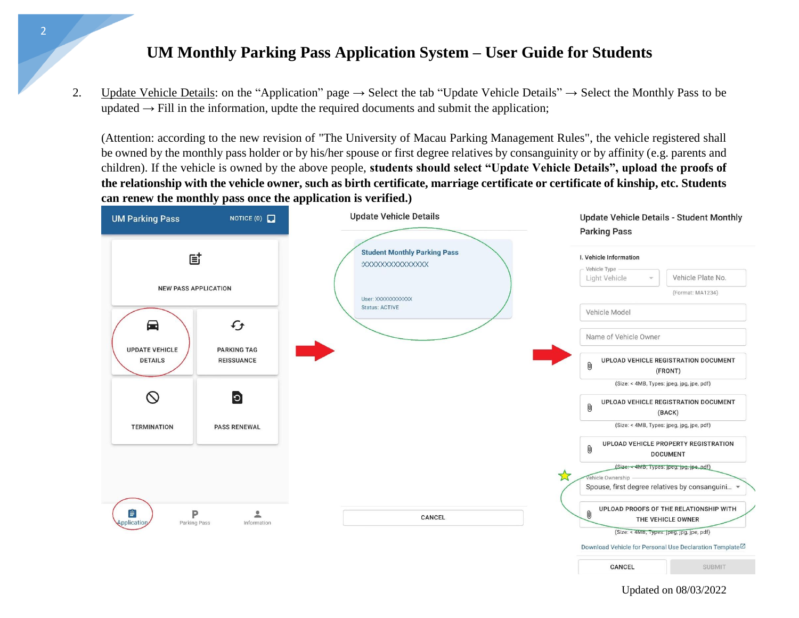## **UM Monthly Parking Pass Application System – User Guide for Students**

2

2. Update Vehicle Details: on the "Application" page  $\rightarrow$  Select the tab "Update Vehicle Details"  $\rightarrow$  Select the Monthly Pass to be updated  $\rightarrow$  Fill in the information, updte the required documents and submit the application;

(Attention: according to the new revision of "The University of Macau Parking Management Rules", the vehicle registered shall be owned by the monthly pass holder or by his/her spouse or first degree relatives by consanguinity or by affinity (e.g. parents and children). If the vehicle is owned by the above people, **students should select "Update Vehicle Details", upload the proofs of the relationship with the vehicle owner, such as birth certificate, marriage certificate or certificate of kinship, etc. Students can renew the monthly pass once the application is verified.)**



Updated on 08/03/2022